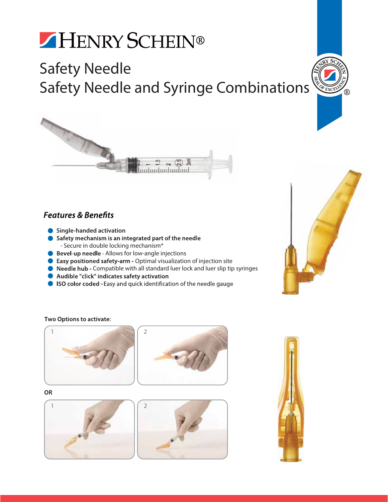# HENRY SCHEIN®

### Safety Needle Safety Needle and Syringe Combinations





### **Features & Benefits**

- **Single-handed activation**
- Safety mechanism is an integrated part of the needle - Secure in double locking mechanism\*
- **Allows** for low-angle injections
- **O** Easy positioned safety-arm Optimal visualization of injection site
- **O** Needle hub Compatible with all standard luer lock and luer slip tip syringes
- Audible "click" indicates safety activation
- ISO color coded Easy and quick identification of the needle gauge



#### Two Options to activate: